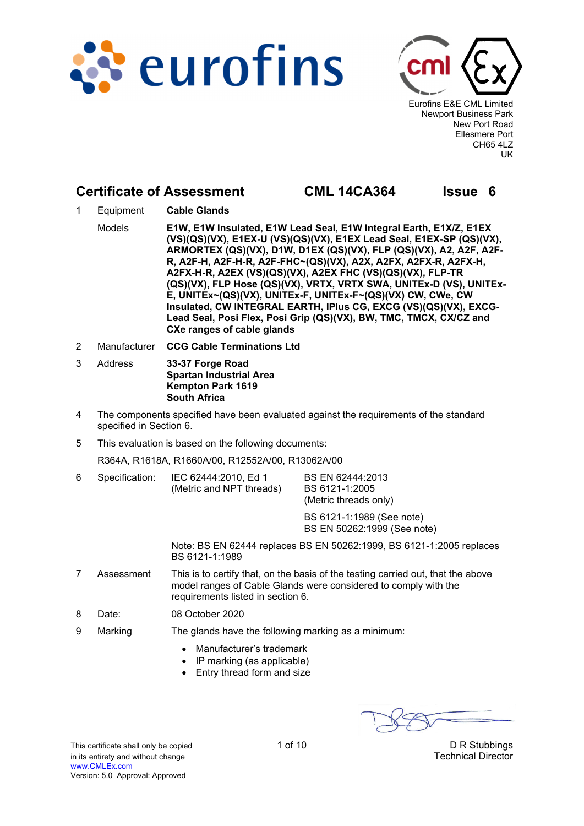



Eurofins E&E CML Limited Newport Business Park New Port Road Ellesmere Port CH65 4LZ UK

# **Certificate of Assessment CML 14CA364 Issue 6**

- 1 Equipment **Cable Glands** Models **E1W, E1W Insulated, E1W Lead Seal, E1W Integral Earth, E1X/Z, E1EX (VS)(QS)(VX), E1EX-U (VS)(QS)(VX), E1EX Lead Seal, E1EX-SP (QS)(VX), ARMORTEX (QS)(VX), D1W, D1EX (QS)(VX), FLP (QS)(VX), A2, A2F, A2F-R, A2F-H, A2F-H-R, A2F-FHC~(QS)(VX), A2X, A2FX, A2FX-R, A2FX-H, A2FX-H-R, A2EX (VS)(QS)(VX), A2EX FHC (VS)(QS)(VX), FLP-TR (QS)(VX), FLP Hose (QS)(VX), VRTX, VRTX SWA, UNITEx-D (VS), UNITEx-E, UNITEx~(QS)(VX), UNITEx-F, UNITEx-F~(QS)(VX) CW, CWe, CW Insulated, CW INTEGRAL EARTH, IPlus CG, EXCG (VS)(QS)(VX), EXCG-**Lead Seal, Posi Flex, Posi Grip (QS)(VX), BW, TMC, TMCX, CX/CZ and **CXe ranges of cable glands**
- 2 Manufacturer **CCG Cable Terminations Ltd**
- 3 Address **33-37 Forge Road Spartan Industrial Area Kempton Park 1619 South Africa**
- 4 The components specified have been evaluated against the requirements of the standard specified in Section 6.
- 5 This evaluation is based on the following documents:

R364A, R1618A, R1660A/00, R12552A/00, R13062A/00

6 Specification: IEC 62444:2010, Ed 1 (Metric and NPT threads) BS EN 62444:2013 BS 6121-1:2005 (Metric threads only)

> BS 6121-1:1989 (See note) BS EN 50262:1999 (See note)

 Note: BS EN 62444 replaces BS EN 50262:1999, BS 6121-1:2005 replaces BS 6121-1:1989

- 7 Assessment This is to certify that, on the basis of the testing carried out, that the above model ranges of Cable Glands were considered to comply with the requirements listed in section 6.
- 8 Date: 08 October 2020
- 9 Marking The glands have the following marking as a minimum:
	- Manufacturer's trademark
	- $\bullet$  IP marking (as applicable)
	- Entry thread form and size

This certificate shall only be copied 1 of 10 10 10 D R Stubbings in its entirety and without change **Technical Director Technical Director** www.CMLEx.com Version: 5.0 Approval: Approved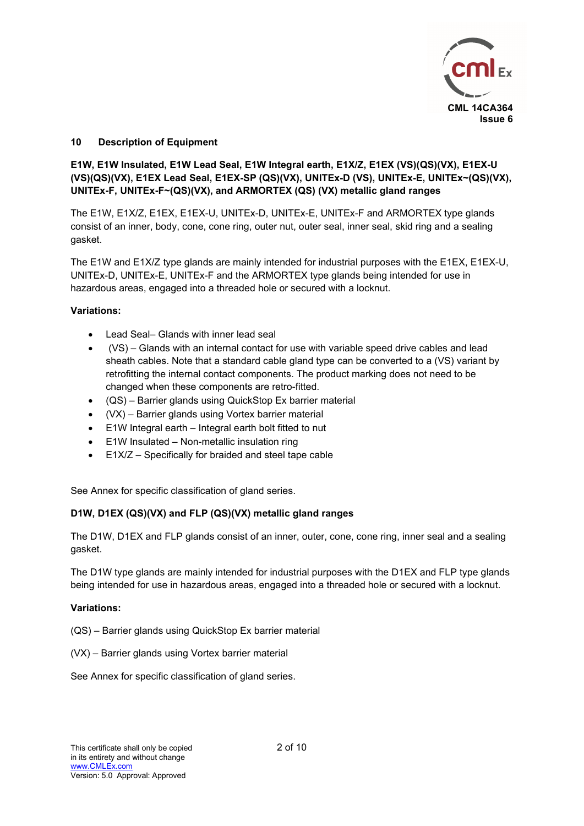

# **10 Description of Equipment**

# **E1W, E1W Insulated, E1W Lead Seal, E1W Integral earth, E1X/Z, E1EX (VS)(QS)(VX), E1EX-U (VS)(QS)(VX), E1EX Lead Seal, E1EX-SP (QS)(VX), UNITEx-D (VS), UNITEx-E, UNITEx~(QS)(VX), UNITEx-F, UNITEx-F~(QS)(VX), and ARMORTEX (QS) (VX) metallic gland ranges**

The E1W, E1X/Z, E1EX, E1EX-U, UNITEx-D, UNITEx-E, UNITEx-F and ARMORTEX type glands consist of an inner, body, cone, cone ring, outer nut, outer seal, inner seal, skid ring and a sealing gasket.

The E1W and E1X/Z type glands are mainly intended for industrial purposes with the E1EX, E1EX-U, UNITEx-D, UNITEx-E, UNITEx-F and the ARMORTEX type glands being intended for use in hazardous areas, engaged into a threaded hole or secured with a locknut.

# **Variations:**

- Lead Seal– Glands with inner lead seal
- (VS) Glands with an internal contact for use with variable speed drive cables and lead sheath cables. Note that a standard cable gland type can be converted to a (VS) variant by retrofitting the internal contact components. The product marking does not need to be changed when these components are retro-fitted.
- (QS) Barrier glands using QuickStop Ex barrier material
- (VX) Barrier glands using Vortex barrier material
- E1W Integral earth Integral earth bolt fitted to nut
- E1W Insulated Non-metallic insulation ring
- E1X/Z Specifically for braided and steel tape cable

See Annex for specific classification of gland series.

# **D1W, D1EX (QS)(VX) and FLP (QS)(VX) metallic gland ranges**

The D1W, D1EX and FLP glands consist of an inner, outer, cone, cone ring, inner seal and a sealing gasket.

The D1W type glands are mainly intended for industrial purposes with the D1EX and FLP type glands being intended for use in hazardous areas, engaged into a threaded hole or secured with a locknut.

# **Variations:**

(QS) – Barrier glands using QuickStop Ex barrier material

(VX) – Barrier glands using Vortex barrier material

See Annex for specific classification of gland series.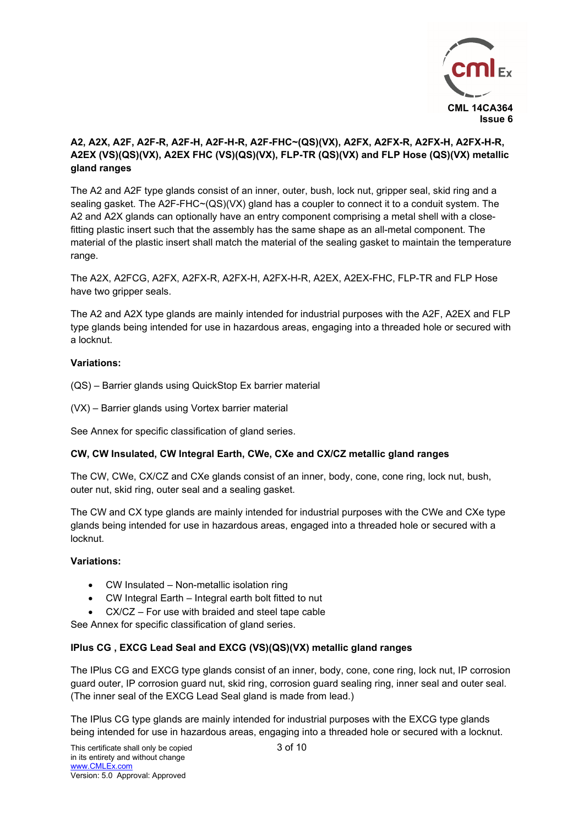

# **A2, A2X, A2F, A2F-R, A2F-H, A2F-H-R, A2F-FHC~(QS)(VX), A2FX, A2FX-R, A2FX-H, A2FX-H-R, A2EX (VS)(QS)(VX), A2EX FHC (VS)(QS)(VX), FLP-TR (QS)(VX) and FLP Hose (QS)(VX) metallic gland ranges**

The A2 and A2F type glands consist of an inner, outer, bush, lock nut, gripper seal, skid ring and a sealing gasket. The A2F-FHC~(QS)(VX) gland has a coupler to connect it to a conduit system. The A2 and A2X glands can optionally have an entry component comprising a metal shell with a closefitting plastic insert such that the assembly has the same shape as an all-metal component. The material of the plastic insert shall match the material of the sealing gasket to maintain the temperature range.

The A2X, A2FCG, A2FX, A2FX-R, A2FX-H, A2FX-H-R, A2EX, A2EX-FHC, FLP-TR and FLP Hose have two gripper seals.

The A2 and A2X type glands are mainly intended for industrial purposes with the A2F, A2EX and FLP type glands being intended for use in hazardous areas, engaging into a threaded hole or secured with a locknut.

### **Variations:**

- (QS) Barrier glands using QuickStop Ex barrier material
- (VX) Barrier glands using Vortex barrier material

See Annex for specific classification of gland series.

# **CW, CW Insulated, CW Integral Earth, CWe, CXe and CX/CZ metallic gland ranges**

The CW, CWe, CX/CZ and CXe glands consist of an inner, body, cone, cone ring, lock nut, bush, outer nut, skid ring, outer seal and a sealing gasket.

The CW and CX type glands are mainly intended for industrial purposes with the CWe and CXe type glands being intended for use in hazardous areas, engaged into a threaded hole or secured with a locknut.

### **Variations:**

- CW Insulated Non-metallic isolation ring
- CW Integral Earth Integral earth bolt fitted to nut
- CX/CZ For use with braided and steel tape cable

See Annex for specific classification of gland series.

### **IPlus CG , EXCG Lead Seal and EXCG (VS)(QS)(VX) metallic gland ranges**

The IPlus CG and EXCG type glands consist of an inner, body, cone, cone ring, lock nut, IP corrosion guard outer, IP corrosion guard nut, skid ring, corrosion guard sealing ring, inner seal and outer seal. (The inner seal of the EXCG Lead Seal gland is made from lead.)

The IPlus CG type glands are mainly intended for industrial purposes with the EXCG type glands being intended for use in hazardous areas, engaging into a threaded hole or secured with a locknut.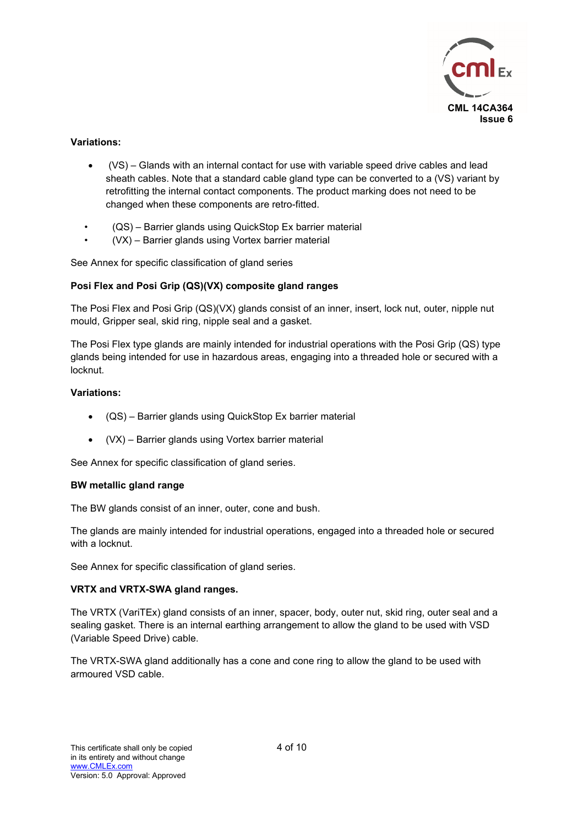

### **Variations:**

- (VS) Glands with an internal contact for use with variable speed drive cables and lead sheath cables. Note that a standard cable gland type can be converted to a (VS) variant by retrofitting the internal contact components. The product marking does not need to be changed when these components are retro-fitted.
- (QS) Barrier glands using QuickStop Ex barrier material
- (VX) Barrier glands using Vortex barrier material

See Annex for specific classification of gland series

### **Posi Flex and Posi Grip (QS)(VX) composite gland ranges**

The Posi Flex and Posi Grip (QS)(VX) glands consist of an inner, insert, lock nut, outer, nipple nut mould, Gripper seal, skid ring, nipple seal and a gasket.

The Posi Flex type glands are mainly intended for industrial operations with the Posi Grip (QS) type glands being intended for use in hazardous areas, engaging into a threaded hole or secured with a locknut.

### **Variations:**

- (QS) Barrier glands using QuickStop Ex barrier material
- (VX) Barrier glands using Vortex barrier material

See Annex for specific classification of gland series.

#### **BW metallic gland range**

The BW glands consist of an inner, outer, cone and bush.

The glands are mainly intended for industrial operations, engaged into a threaded hole or secured with a locknut.

See Annex for specific classification of gland series.

### **VRTX and VRTX-SWA gland ranges.**

The VRTX (VariTEx) gland consists of an inner, spacer, body, outer nut, skid ring, outer seal and a sealing gasket. There is an internal earthing arrangement to allow the gland to be used with VSD (Variable Speed Drive) cable.

The VRTX-SWA gland additionally has a cone and cone ring to allow the gland to be used with armoured VSD cable.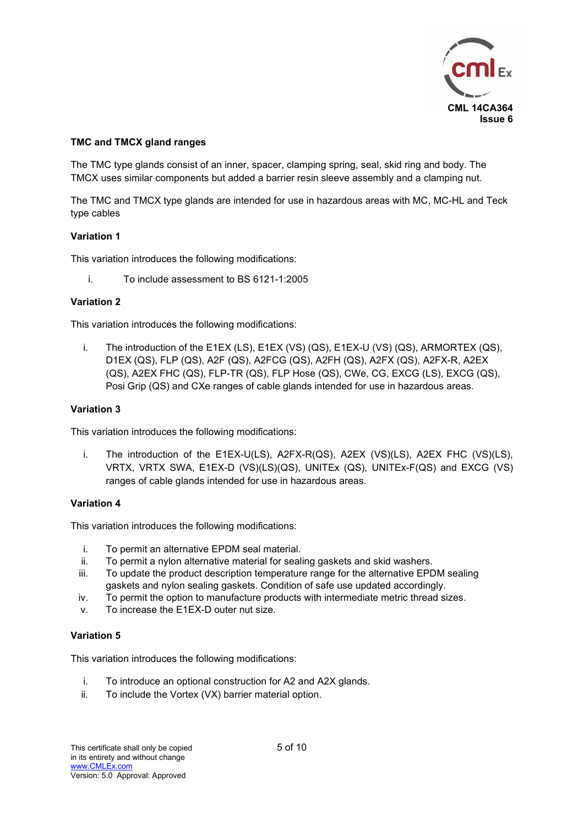

# **TMC and TMCX gland ranges**

The TMC type glands consist of an inner, spacer, clamping spring, seal, skid ring and body. The TMCX uses similar components but added a barrier resin sleeve assembly and a clamping nut.

The TMC and TMCX type glands are intended for use in hazardous areas with MC, MC-HL and Teck type cables

### **Variation 1**

This variation introduces the following modifications:

i. To include assessment to BS 6121-1:2005

### **Variation 2**

This variation introduces the following modifications:

i. The introduction of the E1EX (LS), E1EX (VS) (QS), E1EX-U (VS) (QS), ARMORTEX (QS), D1EX (QS), FLP (QS), A2F (QS), A2FCG (QS), A2FH (QS), A2FX (QS), A2FX-R, A2EX (QS), A2EX FHC (QS), FLP-TR (QS), FLP Hose (QS), CWe, CG, EXCG (LS), EXCG (QS), Posi Grip (QS) and CXe ranges of cable glands intended for use in hazardous areas.

### **Variation 3**

This variation introduces the following modifications:

i. The introduction of the E1EX-U(LS), A2FX-R(QS), A2EX (VS)(LS), A2EX FHC (VS)(LS), VRTX, VRTX SWA, E1EX-D (VS)(LS)(QS), UNITEx (QS), UNITEx-F(QS) and EXCG (VS) ranges of cable glands intended for use in hazardous areas.

### **Variation 4**

This variation introduces the following modifications:

- i. To permit an alternative EPDM seal material.
- ii. To permit a nylon alternative material for sealing gaskets and skid washers.
- iii. To update the product description temperature range for the alternative EPDM sealing gaskets and nylon sealing gaskets. Condition of safe use updated accordingly.
- iv. To permit the option to manufacture products with intermediate metric thread sizes.
- v. To increase the E1EX-D outer nut size.

### **Variation 5**

This variation introduces the following modifications:

- i. To introduce an optional construction for A2 and A2X glands.
- ii. To include the Vortex (VX) barrier material option.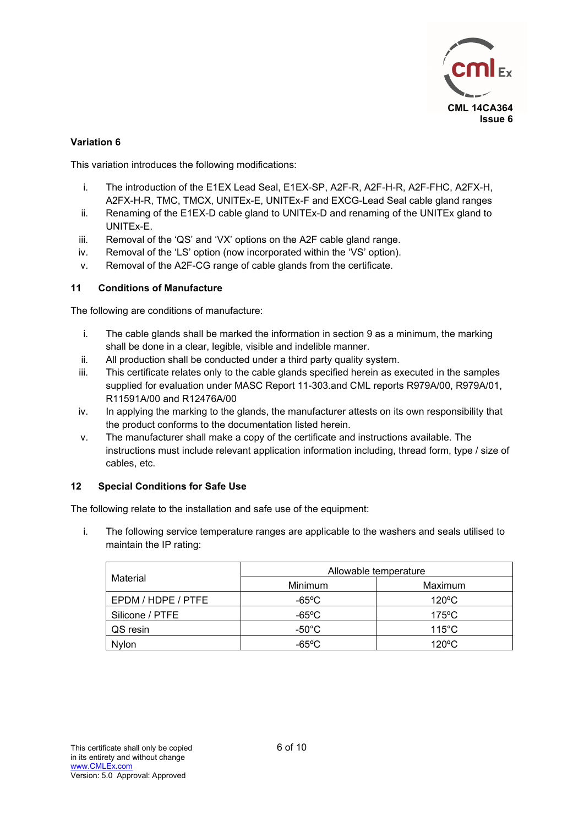

# **Variation 6**

This variation introduces the following modifications:

- i. The introduction of the E1EX Lead Seal, E1EX-SP, A2F-R, A2F-H-R, A2F-FHC, A2FX-H, A2FX-H-R, TMC, TMCX, UNITEx-E, UNITEx-F and EXCG-Lead Seal cable gland ranges
- ii. Renaming of the E1EX-D cable gland to UNITEx-D and renaming of the UNITEx gland to UNITEx-E.
- iii. Removal of the 'QS' and 'VX' options on the A2F cable gland range.
- iv. Removal of the 'LS' option (now incorporated within the 'VS' option).
- v. Removal of the A2F-CG range of cable glands from the certificate.

### **11 Conditions of Manufacture**

The following are conditions of manufacture:

- i. The cable glands shall be marked the information in section 9 as a minimum, the marking shall be done in a clear, legible, visible and indelible manner.
- ii. All production shall be conducted under a third party quality system.
- iii. This certificate relates only to the cable glands specified herein as executed in the samples supplied for evaluation under MASC Report 11-303.and CML reports R979A/00, R979A/01, R11591A/00 and R12476A/00
- iv. In applying the marking to the glands, the manufacturer attests on its own responsibility that the product conforms to the documentation listed herein.
- v. The manufacturer shall make a copy of the certificate and instructions available. The instructions must include relevant application information including, thread form, type / size of cables, etc.

### **12 Special Conditions for Safe Use**

The following relate to the installation and safe use of the equipment:

i. The following service temperature ranges are applicable to the washers and seals utilised to maintain the IP rating:

| Material           | Allowable temperature |                 |  |  |
|--------------------|-----------------------|-----------------|--|--|
|                    | Minimum               | Maximum         |  |  |
| EPDM / HDPE / PTFE | -65°C                 | $120^{\circ}$ C |  |  |
| Silicone / PTFE    | $-65$ °C              | $175^{\circ}$ C |  |  |
| QS resin           | $-50^{\circ}$ C       | $115^{\circ}$ C |  |  |
| <b>Nvlon</b>       | $-65$ °C              | $120^{\circ}$ C |  |  |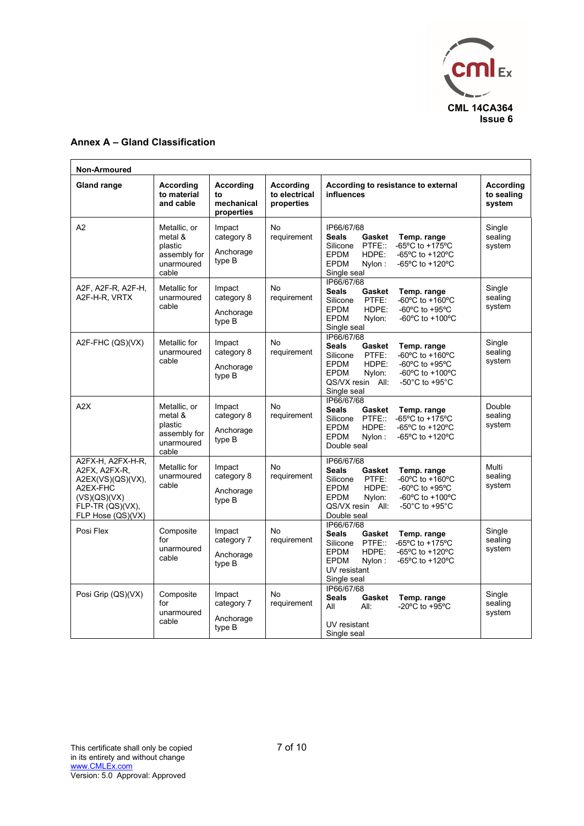

# **Annex A – Gland Classification**

| Non-Armoured                                                                                                                 |                                                                           |                                             |                                          |                                                                                                                                                                                                                                                                                                                                              |                                   |
|------------------------------------------------------------------------------------------------------------------------------|---------------------------------------------------------------------------|---------------------------------------------|------------------------------------------|----------------------------------------------------------------------------------------------------------------------------------------------------------------------------------------------------------------------------------------------------------------------------------------------------------------------------------------------|-----------------------------------|
| <b>Gland range</b>                                                                                                           | According<br>to material<br>and cable                                     | According<br>to<br>mechanical<br>properties | According<br>to electrical<br>properties | According to resistance to external<br>influences                                                                                                                                                                                                                                                                                            | According<br>to sealing<br>system |
| A2                                                                                                                           | Metallic, or<br>metal &<br>plastic<br>assembly for<br>unarmoured<br>cable | Impact<br>category 8<br>Anchorage<br>type B | <b>No</b><br>requirement                 | IP66/67/68<br>Seals<br>Gasket<br>Temp. range<br>$-65^{\circ}$ C to $+175^{\circ}$ C<br>Silicone<br>PTFE::<br>-65°C to +120°C<br><b>EPDM</b><br>HDPE:<br>-65°C to +120°C<br><b>EPDM</b><br>Nylon:<br>Single seal                                                                                                                              | Single<br>sealing<br>system       |
| A2F, A2F-R, A2F-H,<br>A2F-H-R, VRTX                                                                                          | Metallic for<br>unarmoured<br>cable                                       | Impact<br>category 8<br>Anchorage<br>type B | <b>No</b><br>requirement                 | IP66/67/68<br><b>Seals</b><br>Gasket<br>Temp. range<br>$-60^{\circ}$ C to $+160^{\circ}$ C<br>Silicone<br>PTFE:<br>-60°C to +95°C<br><b>EPDM</b><br>HDPE:<br><b>EPDM</b><br>-60 $^{\circ}$ C to +100 $^{\circ}$ C<br>Nylon:<br>Single seal                                                                                                   | Single<br>sealing<br>system       |
| A2F-FHC (QS)(VX)                                                                                                             | Metallic for<br>unarmoured<br>cable                                       | Impact<br>category 8<br>Anchorage<br>type B | <b>No</b><br>requirement                 | IP66/67/68<br><b>Seals</b><br>Gasket<br>Temp. range<br>$-60^{\circ}$ C to $+160^{\circ}$ C<br>PTFE:<br>Silicone<br>HDPE:<br>-60 $\mathrm{^{\circ}C}$ to +95 $\mathrm{^{\circ}C}$<br><b>EPDM</b><br>Nylon:<br>-60 $^{\circ}$ C to +100 $^{\circ}$ C<br><b>EPDM</b><br>QS/VX resin All:<br>-50 $^{\circ}$ C to +95 $^{\circ}$ C<br>Single seal | Single<br>sealing<br>system       |
| A2X                                                                                                                          | Metallic, or<br>metal &<br>plastic<br>assembly for<br>unarmoured<br>cable | Impact<br>category 8<br>Anchorage<br>type B | <b>No</b><br>requirement                 | IP66/67/68<br><b>Seals</b><br>Gasket<br>Temp. range<br>$-65^{\circ}$ C to $+175^{\circ}$ C<br>Silicone PTFE::<br>-65°C to +120°C<br><b>EPDM</b><br>HDPE:<br><b>EPDM</b><br>-65°C to +120°C<br>Nylon:<br>Double seal                                                                                                                          | Double<br>sealing<br>system       |
| A2FX-H, A2FX-H-R,<br>A2FX, A2FX-R,<br>A2EX(VS)(QS)(VX),<br>A2EX-FHC<br>(VS)(QS)(VX)<br>FLP-TR (QS)(VX),<br>FLP Hose (QS)(VX) | Metallic for<br>unarmoured<br>cable                                       | Impact<br>category 8<br>Anchorage<br>type B | <b>No</b><br>requirement                 | IP66/67/68<br><b>Seals</b><br>Gasket<br>Temp. range<br>PTFE:<br>$-60^{\circ}$ C to $+160^{\circ}$ C<br>Silicone<br>HDPE:<br>-60 $\mathrm{^{\circ}C}$ to +95 $\mathrm{^{\circ}C}$<br><b>EPDM</b><br>$-60^{\circ}$ C to $+100^{\circ}$ C<br><b>EPDM</b><br>Nvlon:<br>QS/VX resin All:<br>-50 $^{\circ}$ C to +95 $^{\circ}$ C<br>Double seal   | Multi<br>sealing<br>system        |
| Posi Flex                                                                                                                    | Composite<br>for<br>unarmoured<br>cable                                   | Impact<br>category 7<br>Anchorage<br>type B | No<br>requirement                        | IP66/67/68<br><b>Seals</b><br>Gasket<br>Temp. range<br>-65°C to +175°C<br>PTFE:<br>Silicone<br>-65°C to +120°C<br><b>EPDM</b><br>HDPE:<br><b>EPDM</b><br>Nylon:<br>-65°C to $+120$ °C<br>UV resistant<br>Single seal                                                                                                                         | Single<br>sealing<br>system       |
| Posi Grip (QS)(VX)                                                                                                           | Composite<br>for<br>unarmoured<br>cable                                   | Impact<br>category 7<br>Anchorage<br>type B | No<br>requirement                        | IP66/67/68<br><b>Seals</b><br>Temp. range<br>Gasket<br>-20 $^{\circ}$ C to +95 $^{\circ}$ C<br>All<br>All:<br>UV resistant<br>Single seal                                                                                                                                                                                                    | Single<br>sealing<br>system       |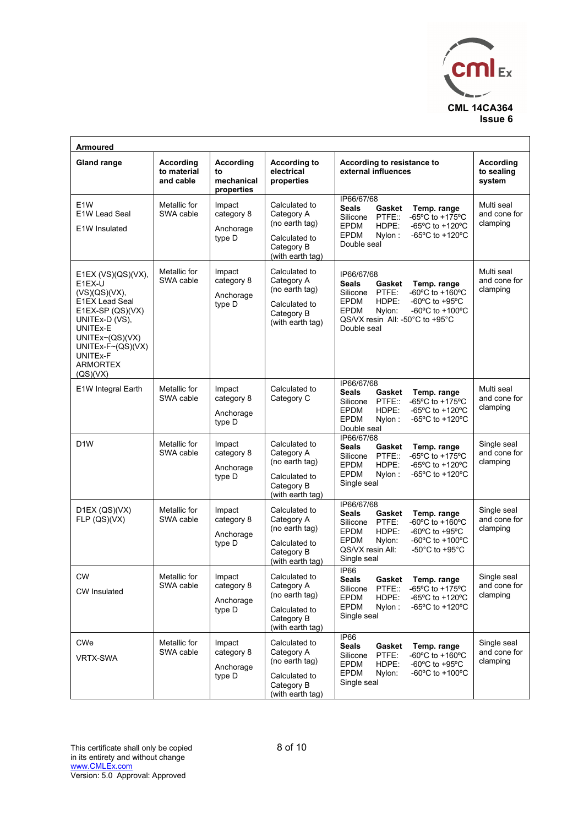

| <b>Armoured</b>                                                                                                                                                                                                  |                                       |                                             |                                                                                                  |                                                                                                                                                                                                                                                                                                    |                                          |
|------------------------------------------------------------------------------------------------------------------------------------------------------------------------------------------------------------------|---------------------------------------|---------------------------------------------|--------------------------------------------------------------------------------------------------|----------------------------------------------------------------------------------------------------------------------------------------------------------------------------------------------------------------------------------------------------------------------------------------------------|------------------------------------------|
| <b>Gland range</b>                                                                                                                                                                                               | According<br>to material<br>and cable | According<br>to<br>mechanical<br>properties | <b>According to</b><br>electrical<br>properties                                                  | According to resistance to<br>external influences                                                                                                                                                                                                                                                  | <b>According</b><br>to sealing<br>system |
| E <sub>1</sub> W<br>E1W Lead Seal<br>E1W Insulated                                                                                                                                                               | Metallic for<br>SWA cable             | Impact<br>category 8<br>Anchorage<br>type D | Calculated to<br>Category A<br>(no earth tag)<br>Calculated to<br>Category B<br>(with earth tag) | IP66/67/68<br><b>Seals</b><br>Gasket<br>Temp. range<br>-65 $^{\circ}$ C to +175 $^{\circ}$ C<br>PTFE::<br>Silicone<br><b>EPDM</b><br>HDPE:<br>-65 $^{\circ}$ C to +120 $^{\circ}$ C<br><b>EPDM</b><br>-65°C to +120°C<br>Nylon:<br>Double seal                                                     | Multi seal<br>and cone for<br>clamping   |
| E1EX $(VS)(QS)(VX)$ ,<br>E1EX-U<br>(VS)(QS)(VX),<br><b>E1EX Lead Seal</b><br>$E1EX-SP (QS)(VX)$<br>UNITEx-D (VS),<br>UNITEx-E<br>UNITEx~(QS)(VX)<br>UNITEx-F~(QS)(VX)<br>UNITEx-F<br><b>ARMORTEX</b><br>(QS)(VX) | Metallic for<br>SWA cable             | Impact<br>category 8<br>Anchorage<br>type D | Calculated to<br>Category A<br>(no earth tag)<br>Calculated to<br>Category B<br>(with earth tag) | IP66/67/68<br><b>Seals</b><br>Gasket<br>Temp. range<br>-60 $^{\circ}$ C to +160 $^{\circ}$ C<br>PTFE:<br>Silicone<br><b>EPDM</b><br>HDPE:<br>-60 $\mathrm{^{\circ}C}$ to +95 $\mathrm{^{\circ}C}$<br>-60°C to +100°C<br>EPDM<br>Nylon:<br>QS/VX resin All: -50°C to +95°C<br>Double seal           | Multi seal<br>and cone for<br>clamping   |
| E1W Integral Earth                                                                                                                                                                                               | Metallic for<br>SWA cable             | Impact<br>category 8<br>Anchorage<br>type D | Calculated to<br>Category C                                                                      | IP66/67/68<br><b>Seals</b><br>Temp. range<br>Gasket<br>$-65^{\circ}$ C to $+175^{\circ}$ C<br>PTFE::<br>Silicone<br>HDPE:<br>$-65^{\circ}$ C to $+120^{\circ}$ C<br><b>EPDM</b><br><b>EPDM</b><br>Nylon:<br>-65°C to +120°C<br>Double seal                                                         | Multi seal<br>and cone for<br>clamping   |
| D <sub>1</sub> W                                                                                                                                                                                                 | Metallic for<br>SWA cable             | Impact<br>category 8<br>Anchorage<br>type D | Calculated to<br>Category A<br>(no earth tag)<br>Calculated to<br>Category B<br>(with earth tag) | IP66/67/68<br><b>Seals</b><br>Gasket<br>Temp. range<br>-65°C to +175°C<br>Silicone<br>PTFE::<br>HDPE:<br>-65 $^{\circ}$ C to +120 $^{\circ}$ C<br><b>EPDM</b><br><b>EPDM</b><br>Nylon:<br>$-65^{\circ}$ C to $+120^{\circ}$ C<br>Single seal                                                       | Single seal<br>and cone for<br>clamping  |
| D1EX (QS)(VX)<br>FLP (QS)(VX)                                                                                                                                                                                    | Metallic for<br>SWA cable             | Impact<br>category 8<br>Anchorage<br>type D | Calculated to<br>Category A<br>(no earth tag)<br>Calculated to<br>Category B<br>(with earth tag) | IP66/67/68<br><b>Seals</b><br>Gasket<br>Temp. range<br>-60°C to +160°C<br>Silicone<br>PTFE:<br><b>EPDM</b><br>HDPE:<br>-60 $\mathrm{^{\circ}C}$ to +95 $\mathrm{^{\circ}C}$<br>-60°C to +100°C<br><b>EPDM</b><br>Nylon:<br>QS/VX resin All:<br>-50 $^{\circ}$ C to +95 $^{\circ}$ C<br>Single seal | Single seal<br>and cone for<br>clamping  |
| <b>CW</b><br><b>CW</b> Insulated                                                                                                                                                                                 | Metallic for<br>SWA cable             | Impact<br>category 8<br>Anchorage<br>type D | Calculated to<br>Category A<br>(no earth tag)<br>Calculated to<br>Category B<br>(with earth tag) | <b>IP66</b><br>Seals<br>Gasket<br>Temp. range<br>Silicone<br>PTFE::<br>-65 $^{\circ}$ C to +175 $^{\circ}$ C<br><b>EPDM</b><br>HDPE:<br>-65°C to $+120$ °C<br><b>EPDM</b><br>Nylon:<br>$-65^{\circ}$ C to $+120^{\circ}$ C<br>Single seal                                                          | Single seal<br>and cone for<br>clamping  |
| <b>CWe</b><br><b>VRTX-SWA</b>                                                                                                                                                                                    | Metallic for<br>SWA cable             | Impact<br>category 8<br>Anchorage<br>type D | Calculated to<br>Category A<br>(no earth tag)<br>Calculated to<br>Category B<br>(with earth tag) | IP66<br>Seals<br>Temp. range<br>Gasket<br>-60 $\mathrm{^{\circ}C}$ to +160 $\mathrm{^{\circ}C}$<br>Silicone<br>PTFE:<br>HDPE:<br>-60 $\mathrm{^{\circ}C}$ to +95 $\mathrm{^{\circ}C}$<br>EPDM<br>-60°C to +100°C<br><b>EPDM</b><br>Nylon:<br>Single seal                                           | Single seal<br>and cone for<br>clamping  |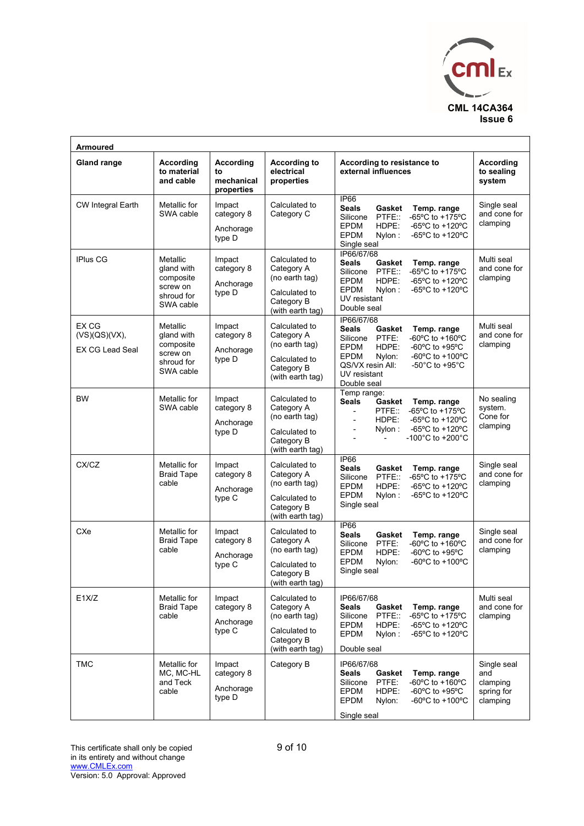

| <b>Armoured</b>                                  |                                                                            |                                             |                                                                                                  |                                                                                                                                                                                                                                                                                                                    |                                                          |
|--------------------------------------------------|----------------------------------------------------------------------------|---------------------------------------------|--------------------------------------------------------------------------------------------------|--------------------------------------------------------------------------------------------------------------------------------------------------------------------------------------------------------------------------------------------------------------------------------------------------------------------|----------------------------------------------------------|
| <b>Gland range</b>                               | According<br>to material<br>and cable                                      | According<br>to<br>mechanical<br>properties | <b>According to</b><br>electrical<br>properties                                                  | According to resistance to<br>external influences                                                                                                                                                                                                                                                                  | According<br>to sealing<br>system                        |
| CW Integral Earth                                | Metallic for<br>SWA cable                                                  | Impact<br>category 8<br>Anchorage<br>type D | Calculated to<br>Category C                                                                      | IP66<br><b>Seals</b><br>Gasket<br>Temp. range<br>-65°C to +175°C<br>PTFE::<br>Silicone<br><b>EPDM</b><br>HDPE:<br>-65°C to +120°C<br><b>EPDM</b><br>-65°C to +120°C<br>Nylon:<br>Single seal                                                                                                                       | Single seal<br>and cone for<br>clamping                  |
| <b>IPlus CG</b>                                  | Metallic<br>gland with<br>composite<br>screw on<br>shroud for<br>SWA cable | Impact<br>category 8<br>Anchorage<br>type D | Calculated to<br>Category A<br>(no earth tag)<br>Calculated to<br>Category B<br>(with earth tag) | IP66/67/68<br><b>Seals</b><br>Gasket<br>Temp. range<br>-65 $^{\circ}$ C to +175 $^{\circ}$ C<br>PTFE:<br>Silicone<br>HDPE:<br>-65°C to +120°C<br><b>EPDM</b><br><b>EPDM</b><br>-65°C to +120°C<br>Nylon:<br>UV resistant<br>Double seal                                                                            | Multi seal<br>and cone for<br>clamping                   |
| EX CG<br>(VS)(QS)(VX),<br><b>EX CG Lead Seal</b> | Metallic<br>gland with<br>composite<br>screw on<br>shroud for<br>SWA cable | Impact<br>category 8<br>Anchorage<br>type D | Calculated to<br>Category A<br>(no earth tag)<br>Calculated to<br>Category B<br>(with earth tag) | IP66/67/68<br><b>Seals</b><br>Gasket<br>Temp. range<br>PTFE:<br>-60°C to +160°C<br>Silicone<br>-60 $\mathrm{^{\circ}C}$ to +95 $\mathrm{^{\circ}C}$<br><b>EPDM</b><br>HDPE:<br>-60°C to +100°C<br><b>EPDM</b><br>Nylon:<br>QS/VX resin All:<br>-50 $^{\circ}$ C to +95 $^{\circ}$ C<br>UV resistant<br>Double seal | Multi seal<br>and cone for<br>clamping                   |
| <b>BW</b>                                        | Metallic for<br>SWA cable                                                  | Impact<br>category 8<br>Anchorage<br>type D | Calculated to<br>Category A<br>(no earth tag)<br>Calculated to<br>Category B<br>(with earth tag) | Temp range:<br>Seals<br>Gasket<br>Temp. range<br>-65°C to +175°C<br>PTFE:<br>$\blacksquare$<br>-65°C to +120°C<br>HDPE:<br>$\overline{a}$<br>-65 $^{\circ}$ C to +120 $^{\circ}$ C<br>Nylon:<br>$\overline{\phantom{a}}$<br>-100 $^{\circ}$ C to +200 $^{\circ}$ C                                                 | No sealing<br>system.<br>Cone for<br>clamping            |
| CX/CZ                                            | Metallic for<br><b>Braid Tape</b><br>cable                                 | Impact<br>category 8<br>Anchorage<br>type C | Calculated to<br>Category A<br>(no earth tag)<br>Calculated to<br>Category B<br>(with earth tag) | <b>IP66</b><br><b>Seals</b><br>Temp. range<br>Gasket<br>-65°C to +175°C<br>Silicone<br>PTFE::<br>-65°C to +120°C<br><b>EPDM</b><br>HDPE:<br>-65°C to +120°C<br><b>EPDM</b><br>Nylon:<br>Single seal                                                                                                                | Single seal<br>and cone for<br>clamping                  |
| CXe                                              | Metallic for<br><b>Braid Tape</b><br>cable                                 | Impact<br>category 8<br>Anchorage<br>type C | Calculated to<br>Category A<br>(no earth tag)<br>Calculated to<br>Category B<br>(with earth tag) | IP66<br><b>Seals</b><br>Gasket<br>Temp. range<br>-60°C to +160°C<br>PTFE:<br>Silicone<br>-60 $\mathrm{^{\circ}C}$ to +95 $\mathrm{^{\circ}C}$<br><b>EPDM</b><br>HDPE:<br><b>EPDM</b><br>-60 $\mathrm{^{\circ}C}$ to +100 $\mathrm{^{\circ}C}$<br>Nylon:<br>Single seal                                             | Single seal<br>and cone for<br>clamping                  |
| E1X/Z                                            | Metallic for<br><b>Braid Tape</b><br>cable                                 | Impact<br>category 8<br>Anchorage<br>type C | Calculated to<br>Category A<br>(no earth tag)<br>Calculated to<br>Category B<br>(with earth tag) | IP66/67/68<br><b>Seals</b><br>Gasket<br>Temp. range<br>-65°C to +175°C<br>Silicone<br>PTFE::<br>EPDM<br>HDPE:<br>$-65^{\circ}$ C to $+120^{\circ}$ C<br><b>EPDM</b><br>-65°C to +120°C<br>Nylon:<br>Double seal                                                                                                    | Multi seal<br>and cone for<br>clamping                   |
| <b>TMC</b>                                       | Metallic for<br>MC, MC-HL<br>and Teck<br>cable                             | Impact<br>category 8<br>Anchorage<br>type D | Category B                                                                                       | IP66/67/68<br><b>Seals</b><br>Gasket<br>Temp. range<br>PTFE:<br>$-60^{\circ}$ C to $+160^{\circ}$ C<br>Silicone<br><b>EPDM</b><br>HDPE:<br>-60 $\mathrm{^{\circ}C}$ to +95 $\mathrm{^{\circ}C}$<br><b>EPDM</b><br>-60°C to +100°C<br>Nylon:<br>Single seal                                                         | Single seal<br>and<br>clamping<br>spring for<br>clamping |